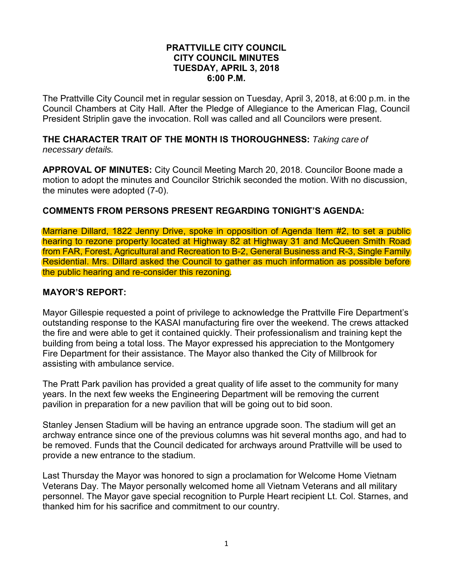#### **PRATTVILLE CITY COUNCIL CITY COUNCIL MINUTES TUESDAY, APRIL 3, 2018 6:00 P.M.**

The Prattville City Council met in regular session on Tuesday, April 3, 2018, at 6:00 p.m. in the Council Chambers at City Hall. After the Pledge of Allegiance to the American Flag, Council President Striplin gave the invocation. Roll was called and all Councilors were present.

#### **THE CHARACTER TRAIT OF THE MONTH IS THOROUGHNESS:** *Taking care of necessary details.*

**APPROVAL OF MINUTES:** City Council Meeting March 20, 2018. Councilor Boone made a motion to adopt the minutes and Councilor Strichik seconded the motion. With no discussion, the minutes were adopted (7-0).

## **COMMENTS FROM PERSONS PRESENT REGARDING TONIGHT'S AGENDA:**

Marriane Dillard, 1822 Jenny Drive, spoke in opposition of Agenda Item #2, to set a public hearing to rezone property located at Highway 82 at Highway 31 and McQueen Smith Road from FAR, Forest, Agricultural and Recreation to B-2, General Business and R-3, Single Family Residential. Mrs. Dillard asked the Council to gather as much information as possible before the public hearing and re-consider this rezoning.

#### **MAYOR'S REPORT:**

Mayor Gillespie requested a point of privilege to acknowledge the Prattville Fire Department's outstanding response to the KASAI manufacturing fire over the weekend. The crews attacked the fire and were able to get it contained quickly. Their professionalism and training kept the building from being a total loss. The Mayor expressed his appreciation to the Montgomery Fire Department for their assistance. The Mayor also thanked the City of Millbrook for assisting with ambulance service.

The Pratt Park pavilion has provided a great quality of life asset to the community for many years. In the next few weeks the Engineering Department will be removing the current pavilion in preparation for a new pavilion that will be going out to bid soon.

Stanley Jensen Stadium will be having an entrance upgrade soon. The stadium will get an archway entrance since one of the previous columns was hit several months ago, and had to be removed. Funds that the Council dedicated for archways around Prattville will be used to provide a new entrance to the stadium.

Last Thursday the Mayor was honored to sign a proclamation for Welcome Home Vietnam Veterans Day. The Mayor personally welcomed home all Vietnam Veterans and all military personnel. The Mayor gave special recognition to Purple Heart recipient Lt. Col. Starnes, and thanked him for his sacrifice and commitment to our country.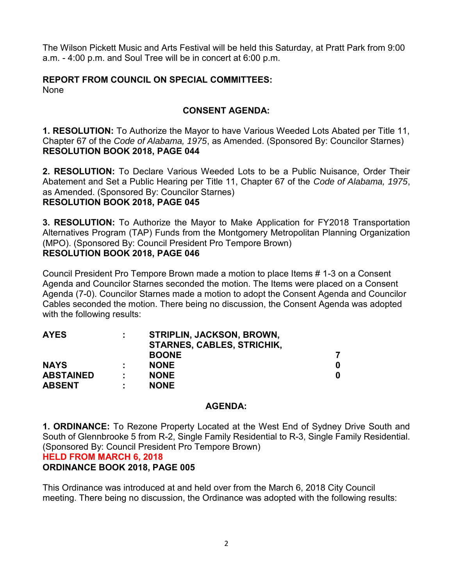The Wilson Pickett Music and Arts Festival will be held this Saturday, at Pratt Park from 9:00 a.m. - 4:00 p.m. and Soul Tree will be in concert at 6:00 p.m.

# **REPORT FROM COUNCIL ON SPECIAL COMMITTEES:**

None

# **CONSENT AGENDA:**

**1. RESOLUTION:** To Authorize the Mayor to have Various Weeded Lots Abated per Title 11, Chapter 67 of the *Code of Alabama, 1975*, as Amended. (Sponsored By: Councilor Starnes) **RESOLUTION BOOK 2018, PAGE 044**

**2. RESOLUTION:** To Declare Various Weeded Lots to be a Public Nuisance, Order Their Abatement and Set a Public Hearing per Title 11, Chapter 67 of the *Code of Alabama, 1975*, as Amended. (Sponsored By: Councilor Starnes) **RESOLUTION BOOK 2018, PAGE 045**

**3. RESOLUTION:** To Authorize the Mayor to Make Application for FY2018 Transportation Alternatives Program (TAP) Funds from the Montgomery Metropolitan Planning Organization (MPO). (Sponsored By: Council President Pro Tempore Brown) **RESOLUTION BOOK 2018, PAGE 046**

Council President Pro Tempore Brown made a motion to place Items # 1-3 on a Consent Agenda and Councilor Starnes seconded the motion. The Items were placed on a Consent Agenda (7-0). Councilor Starnes made a motion to adopt the Consent Agenda and Councilor Cables seconded the motion. There being no discussion, the Consent Agenda was adopted with the following results:

| <b>AYES</b>      | ÷ | STRIPLIN, JACKSON, BROWN,         |   |
|------------------|---|-----------------------------------|---|
|                  |   | <b>STARNES, CABLES, STRICHIK,</b> |   |
|                  |   | <b>BOONE</b>                      |   |
| <b>NAYS</b>      | ٠ | <b>NONE</b>                       | 0 |
| <b>ABSTAINED</b> | ÷ | <b>NONE</b>                       | 0 |
| <b>ABSENT</b>    | ٠ | <b>NONE</b>                       |   |

# **AGENDA:**

**1. ORDINANCE:** To Rezone Property Located at the West End of Sydney Drive South and South of Glennbrooke 5 from R-2, Single Family Residential to R-3, Single Family Residential. (Sponsored By: Council President Pro Tempore Brown)

# **HELD FROM MARCH 6, 2018**

# **ORDINANCE BOOK 2018, PAGE 005**

This Ordinance was introduced at and held over from the March 6, 2018 City Council meeting. There being no discussion, the Ordinance was adopted with the following results: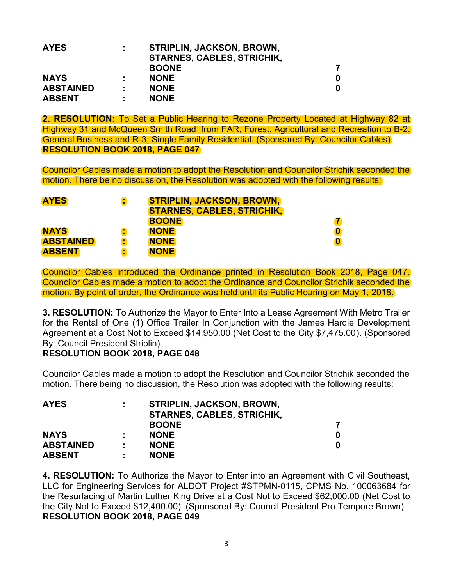| <b>AYES</b>      | ÷ | <b>STRIPLIN, JACKSON, BROWN,</b><br><b>STARNES, CABLES, STRICHIK,</b> |   |
|------------------|---|-----------------------------------------------------------------------|---|
|                  |   | <b>BOONE</b>                                                          |   |
| <b>NAYS</b>      |   | <b>NONE</b>                                                           | 0 |
| <b>ABSTAINED</b> | ٠ | <b>NONE</b>                                                           |   |
| <b>ABSENT</b>    |   | <b>NONE</b>                                                           |   |

**2. RESOLUTION:** To Set a Public Hearing to Rezone Property Located at Highway 82 at Highway 31 and McQueen Smith Road from FAR, Forest, Agricultural and Recreation to B-2, General Business and R-3, Single Family Residential. (Sponsored By: Councilor Cables) **RESOLUTION BOOK 2018, PAGE 047**

Councilor Cables made a motion to adopt the Resolution and Councilor Strichik seconded the motion. There be no discussion, the Resolution was adopted with the following results:

| <b>AYES</b>      | ÷ | <b>STRIPLIN, JACKSON, BROWN,</b>  |          |
|------------------|---|-----------------------------------|----------|
|                  |   | <b>STARNES, CABLES, STRICHIK,</b> |          |
|                  |   | <b>BOONE</b>                      |          |
| <b>NAYS</b>      | ÷ | <b>NONE</b>                       | $\bf{0}$ |
| <b>ABSTAINED</b> | т | <b>NONE</b>                       | $\bf{0}$ |
| <b>ABSENT</b>    | ÷ | <b>NONE</b>                       |          |

Councilor Cables introduced the Ordinance printed in Resolution Book 2018, Page 047. Councilor Cables made a motion to adopt the Ordinance and Councilor Strichik seconded the motion. By point of order, the Ordinance was held until its Public Hearing on May 1, 2018.

**3. RESOLUTION:** To Authorize the Mayor to Enter Into a Lease Agreement With Metro Trailer for the Rental of One (1) Office Trailer In Conjunction with the James Hardie Development Agreement at a Cost Not to Exceed \$14,950.00 (Net Cost to the City \$7,475.00). (Sponsored By: Council President Striplin)

#### **RESOLUTION BOOK 2018, PAGE 048**

Councilor Cables made a motion to adopt the Resolution and Councilor Strichik seconded the motion. There being no discussion, the Resolution was adopted with the following results:

| <b>AYES</b>      | ÷ | <b>STRIPLIN, JACKSON, BROWN,</b><br><b>STARNES, CABLES, STRICHIK,</b> |   |
|------------------|---|-----------------------------------------------------------------------|---|
|                  |   | <b>BOONE</b>                                                          |   |
| <b>NAYS</b>      |   | <b>NONE</b>                                                           | 0 |
| <b>ABSTAINED</b> | ٠ | <b>NONE</b>                                                           | 0 |
| <b>ABSENT</b>    | ٠ | <b>NONE</b>                                                           |   |

**4. RESOLUTION:** To Authorize the Mayor to Enter into an Agreement with Civil Southeast, LLC for Engineering Services for ALDOT Project #STPMN-0115, CPMS No. 100063684 for the Resurfacing of Martin Luther King Drive at a Cost Not to Exceed \$62,000.00 (Net Cost to the City Not to Exceed \$12,400.00). (Sponsored By: Council President Pro Tempore Brown) **RESOLUTION BOOK 2018, PAGE 049**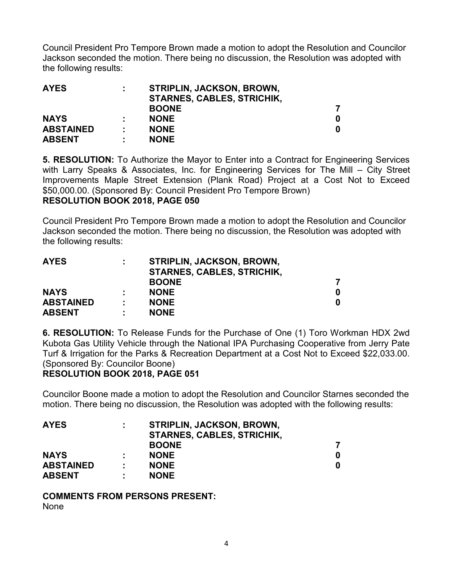Council President Pro Tempore Brown made a motion to adopt the Resolution and Councilor Jackson seconded the motion. There being no discussion, the Resolution was adopted with the following results:

| <b>AYES</b>      | ÷ | STRIPLIN, JACKSON, BROWN,         |   |
|------------------|---|-----------------------------------|---|
|                  |   | <b>STARNES, CABLES, STRICHIK,</b> |   |
|                  |   | <b>BOONE</b>                      |   |
| <b>NAYS</b>      |   | <b>NONE</b>                       | 0 |
| <b>ABSTAINED</b> | ÷ | <b>NONE</b>                       |   |
| <b>ABSENT</b>    | ÷ | <b>NONE</b>                       |   |

**5. RESOLUTION:** To Authorize the Mayor to Enter into a Contract for Engineering Services with Larry Speaks & Associates, Inc. for Engineering Services for The Mill – City Street Improvements Maple Street Extension (Plank Road) Project at a Cost Not to Exceed \$50,000.00. (Sponsored By: Council President Pro Tempore Brown) **RESOLUTION BOOK 2018, PAGE 050**

Council President Pro Tempore Brown made a motion to adopt the Resolution and Councilor Jackson seconded the motion. There being no discussion, the Resolution was adopted with the following results:

| <b>AYES</b>      | ÷ | <b>STRIPLIN, JACKSON, BROWN,</b><br><b>STARNES, CABLES, STRICHIK,</b> |   |
|------------------|---|-----------------------------------------------------------------------|---|
|                  |   | <b>BOONE</b>                                                          |   |
| <b>NAYS</b>      |   | <b>NONE</b>                                                           | 0 |
| <b>ABSTAINED</b> | ÷ | <b>NONE</b>                                                           | 0 |
| <b>ABSENT</b>    | ÷ | <b>NONE</b>                                                           |   |

**6. RESOLUTION:** To Release Funds for the Purchase of One (1) Toro Workman HDX 2wd Kubota Gas Utility Vehicle through the National IPA Purchasing Cooperative from Jerry Pate Turf & Irrigation for the Parks & Recreation Department at a Cost Not to Exceed \$22,033.00. (Sponsored By: Councilor Boone)

#### **RESOLUTION BOOK 2018, PAGE 051**

Councilor Boone made a motion to adopt the Resolution and Councilor Starnes seconded the motion. There being no discussion, the Resolution was adopted with the following results:

| <b>AYES</b>      | ÷ | <b>STRIPLIN, JACKSON, BROWN,</b>  |   |
|------------------|---|-----------------------------------|---|
|                  |   | <b>STARNES, CABLES, STRICHIK,</b> |   |
|                  |   | <b>BOONE</b>                      |   |
| <b>NAYS</b>      |   | <b>NONE</b>                       | 0 |
| <b>ABSTAINED</b> | ÷ | <b>NONE</b>                       |   |
| <b>ABSENT</b>    | ÷ | <b>NONE</b>                       |   |

**COMMENTS FROM PERSONS PRESENT:** 

None